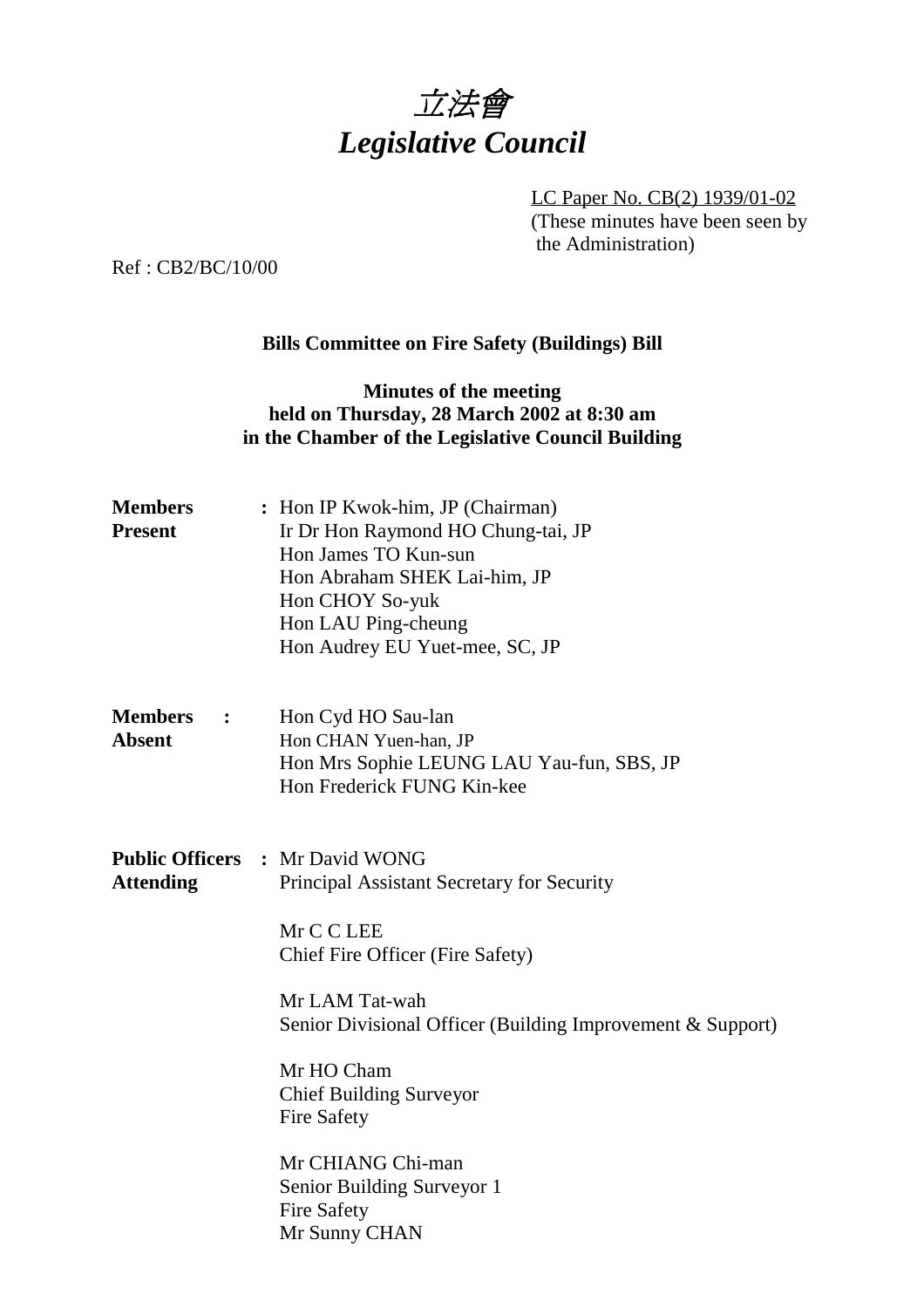

LC Paper No. CB(2) 1939/01-02 (These minutes have been seen by the Administration)

Ref : CB2/BC/10/00

## **Bills Committee on Fire Safety (Buildings) Bill**

## **Minutes of the meeting held on Thursday, 28 March 2002 at 8:30 am in the Chamber of the Legislative Council Building**

| : Hon IP Kwok-him, JP (Chairman)<br>Ir Dr Hon Raymond HO Chung-tai, JP<br>Hon James TO Kun-sun<br>Hon Abraham SHEK Lai-him, JP<br>Hon CHOY So-yuk<br>Hon LAU Ping-cheung<br>Hon Audrey EU Yuet-mee, SC, JP                                                                                                                                                                             |
|----------------------------------------------------------------------------------------------------------------------------------------------------------------------------------------------------------------------------------------------------------------------------------------------------------------------------------------------------------------------------------------|
| Hon Cyd HO Sau-lan<br>Hon CHAN Yuen-han, JP<br>Hon Mrs Sophie LEUNG LAU Yau-fun, SBS, JP<br>Hon Frederick FUNG Kin-kee                                                                                                                                                                                                                                                                 |
| <b>Public Officers : Mr David WONG</b><br>Principal Assistant Secretary for Security<br>Mr C C LEE<br>Chief Fire Officer (Fire Safety)<br>Mr LAM Tat-wah<br>Senior Divisional Officer (Building Improvement & Support)<br>Mr HO Cham<br><b>Chief Building Surveyor</b><br><b>Fire Safety</b><br>Mr CHIANG Chi-man<br>Senior Building Surveyor 1<br><b>Fire Safety</b><br>Mr Sunny CHAN |
|                                                                                                                                                                                                                                                                                                                                                                                        |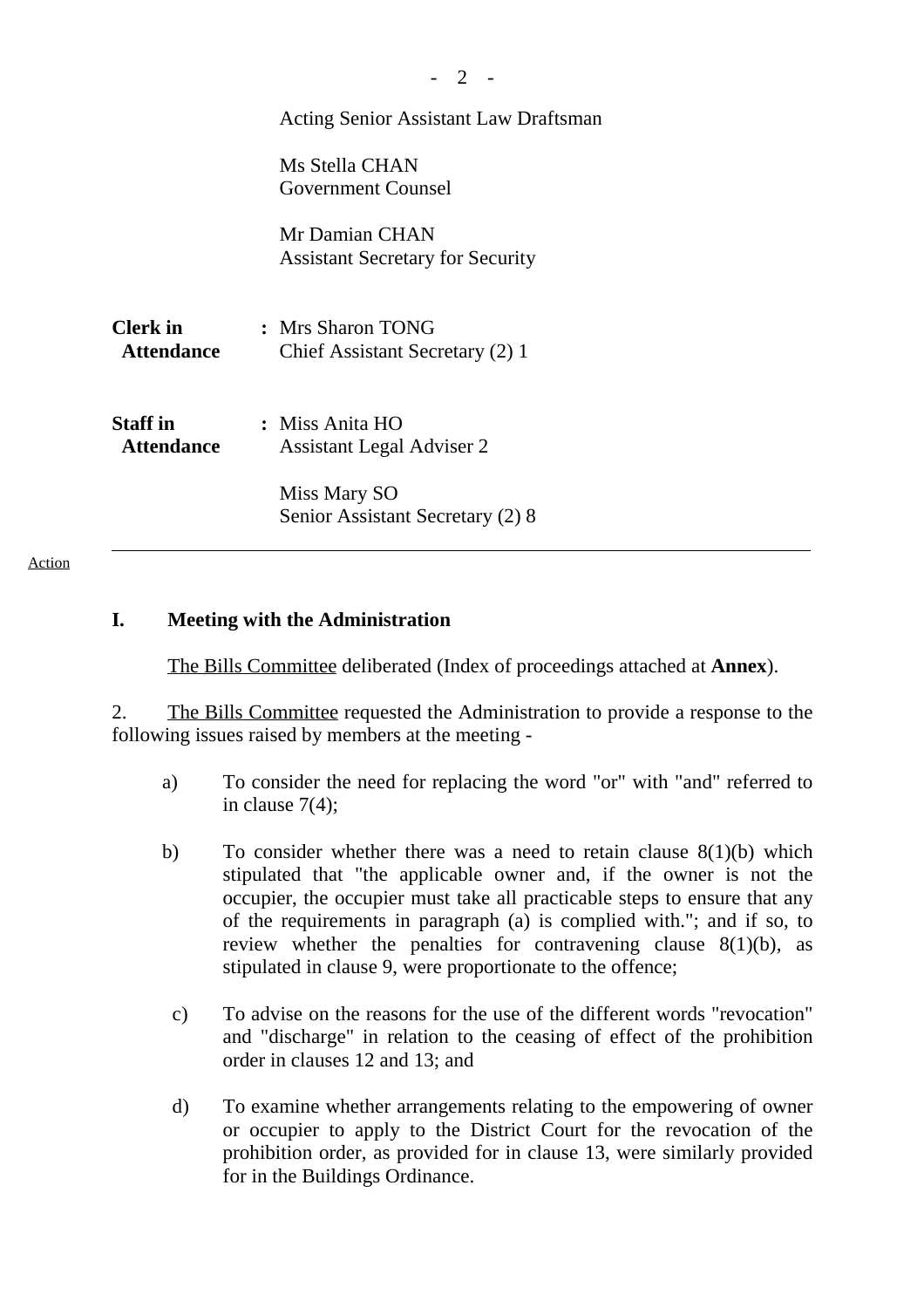|                                      | <b>Acting Senior Assistant Law Draftsman</b>              |  |
|--------------------------------------|-----------------------------------------------------------|--|
|                                      | Ms Stella CHAN<br>Government Counsel                      |  |
|                                      | Mr Damian CHAN<br><b>Assistant Secretary for Security</b> |  |
| Clerk in<br><b>Attendance</b>        | : Mrs Sharon TONG<br>Chief Assistant Secretary (2) 1      |  |
| <b>Staff</b> in<br><b>Attendance</b> | : Miss Anita HO<br>Assistant Legal Adviser 2              |  |
|                                      | Miss Mary SO<br>Senior Assistant Secretary (2) 8          |  |

Action

#### **I. Meeting with the Administration**

The Bills Committee deliberated (Index of proceedings attached at **Annex**).

2. The Bills Committee requested the Administration to provide a response to the following issues raised by members at the meeting -

- a) To consider the need for replacing the word "or" with "and" referred to in clause 7(4);
- b) To consider whether there was a need to retain clause  $8(1)(b)$  which stipulated that "the applicable owner and, if the owner is not the occupier, the occupier must take all practicable steps to ensure that any of the requirements in paragraph (a) is complied with."; and if so, to review whether the penalties for contravening clause 8(1)(b), as stipulated in clause 9, were proportionate to the offence;
	- c) To advise on the reasons for the use of the different words "revocation" and "discharge" in relation to the ceasing of effect of the prohibition order in clauses 12 and 13; and
	- d) To examine whether arrangements relating to the empowering of owner or occupier to apply to the District Court for the revocation of the prohibition order, as provided for in clause 13, were similarly provided for in the Buildings Ordinance.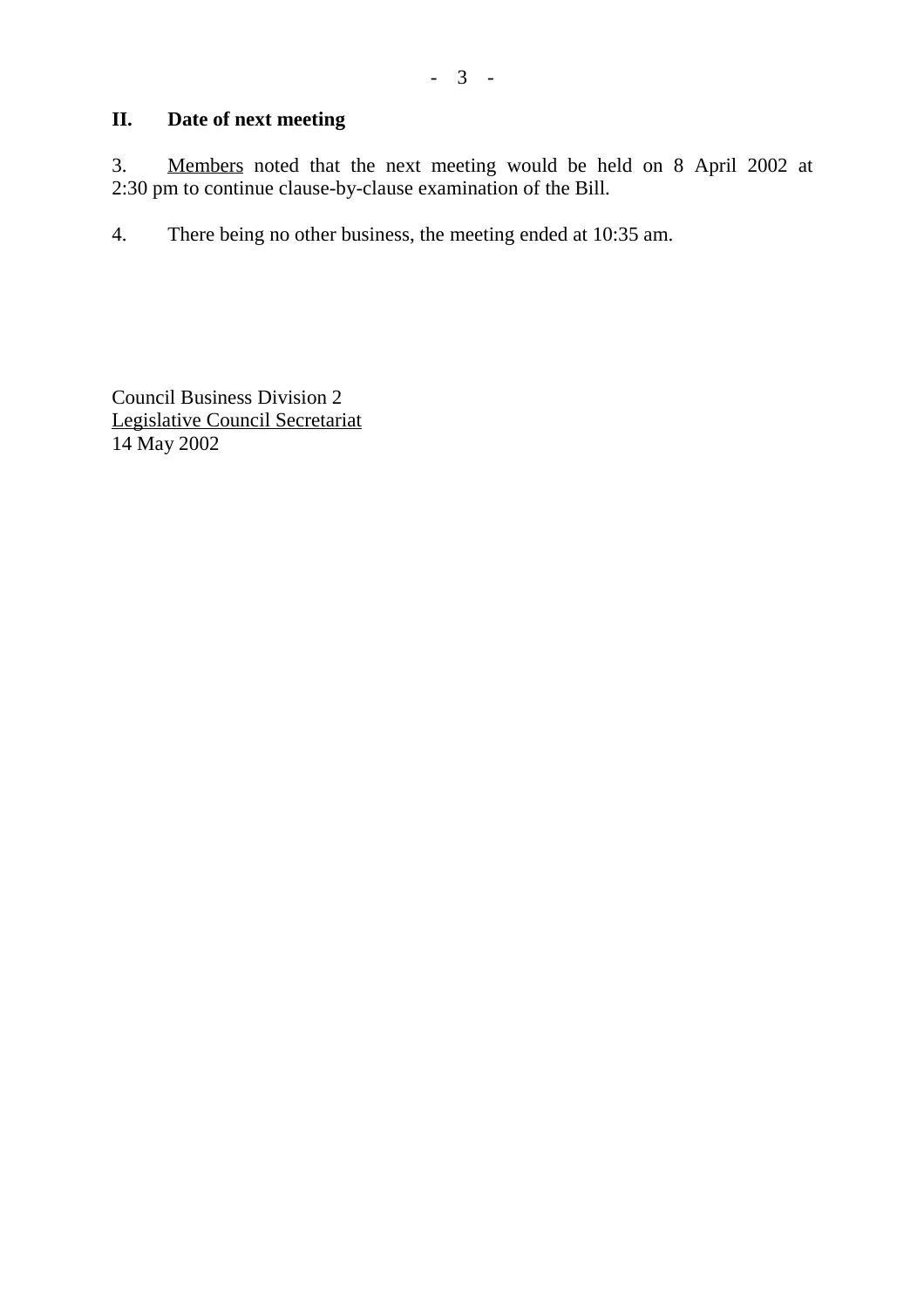# **II. Date of next meeting**

3. Members noted that the next meeting would be held on 8 April 2002 at 2:30 pm to continue clause-by-clause examination of the Bill.

4. There being no other business, the meeting ended at 10:35 am.

Council Business Division 2 Legislative Council Secretariat 14 May 2002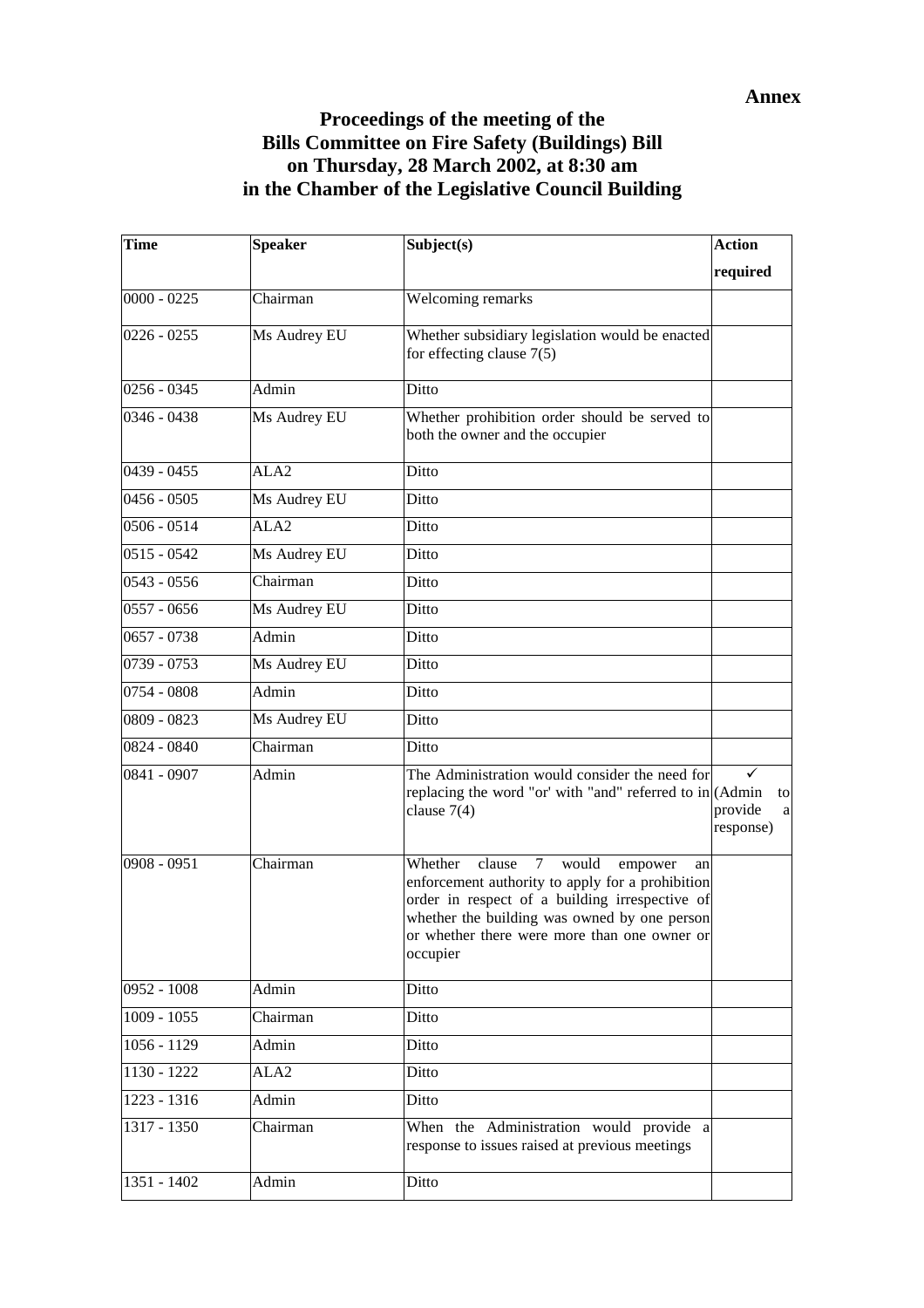## **Proceedings of the meeting of the Bills Committee on Fire Safety (Buildings) Bill on Thursday, 28 March 2002, at 8:30 am in the Chamber of the Legislative Council Building**

| <b>Time</b>   | <b>Speaker</b>   | Subject(s)                                                                                                                                                                                                                                                              | <b>Action</b>                   |
|---------------|------------------|-------------------------------------------------------------------------------------------------------------------------------------------------------------------------------------------------------------------------------------------------------------------------|---------------------------------|
|               |                  |                                                                                                                                                                                                                                                                         | required                        |
| $0000 - 0225$ | Chairman         | Welcoming remarks                                                                                                                                                                                                                                                       |                                 |
| $0226 - 0255$ | Ms Audrey EU     | Whether subsidiary legislation would be enacted<br>for effecting clause $7(5)$                                                                                                                                                                                          |                                 |
| $0256 - 0345$ | Admin            | Ditto                                                                                                                                                                                                                                                                   |                                 |
| 0346 - 0438   | Ms Audrey EU     | Whether prohibition order should be served to<br>both the owner and the occupier                                                                                                                                                                                        |                                 |
| $0439 - 0455$ | ALA <sub>2</sub> | Ditto                                                                                                                                                                                                                                                                   |                                 |
| $0456 - 0505$ | Ms Audrey EU     | Ditto                                                                                                                                                                                                                                                                   |                                 |
| $0506 - 0514$ | ALA <sub>2</sub> | Ditto                                                                                                                                                                                                                                                                   |                                 |
| $0515 - 0542$ | Ms Audrey EU     | Ditto                                                                                                                                                                                                                                                                   |                                 |
| $0543 - 0556$ | Chairman         | Ditto                                                                                                                                                                                                                                                                   |                                 |
| $0557 - 0656$ | Ms Audrey EU     | Ditto                                                                                                                                                                                                                                                                   |                                 |
| $0657 - 0738$ | Admin            | Ditto                                                                                                                                                                                                                                                                   |                                 |
| 0739 - 0753   | Ms Audrey EU     | Ditto                                                                                                                                                                                                                                                                   |                                 |
| 0754 - 0808   | Admin            | Ditto                                                                                                                                                                                                                                                                   |                                 |
| 0809 - 0823   | Ms Audrey EU     | Ditto                                                                                                                                                                                                                                                                   |                                 |
| 0824 - 0840   | Chairman         | Ditto                                                                                                                                                                                                                                                                   |                                 |
| 0841 - 0907   | Admin            | The Administration would consider the need for<br>replacing the word "or' with "and" referred to in (Admin<br>clause $7(4)$                                                                                                                                             | to<br>provide<br>a<br>response) |
| 0908 - 0951   | Chairman         | Whether<br>clause<br>$\tau$<br>would<br>empower<br>an<br>enforcement authority to apply for a prohibition<br>order in respect of a building irrespective of<br>whether the building was owned by one person<br>or whether there were more than one owner or<br>occupier |                                 |
| 0952 - 1008   | Admin            | Ditto                                                                                                                                                                                                                                                                   |                                 |
| $1009 - 1055$ | Chairman         | Ditto                                                                                                                                                                                                                                                                   |                                 |
| 1056 - 1129   | Admin            | Ditto                                                                                                                                                                                                                                                                   |                                 |
| 1130 - 1222   | ALA <sub>2</sub> | Ditto                                                                                                                                                                                                                                                                   |                                 |
| $1223 - 1316$ | Admin            | Ditto                                                                                                                                                                                                                                                                   |                                 |
| 1317 - 1350   | Chairman         | When the Administration would provide a<br>response to issues raised at previous meetings                                                                                                                                                                               |                                 |
| 1351 - 1402   | Admin            | Ditto                                                                                                                                                                                                                                                                   |                                 |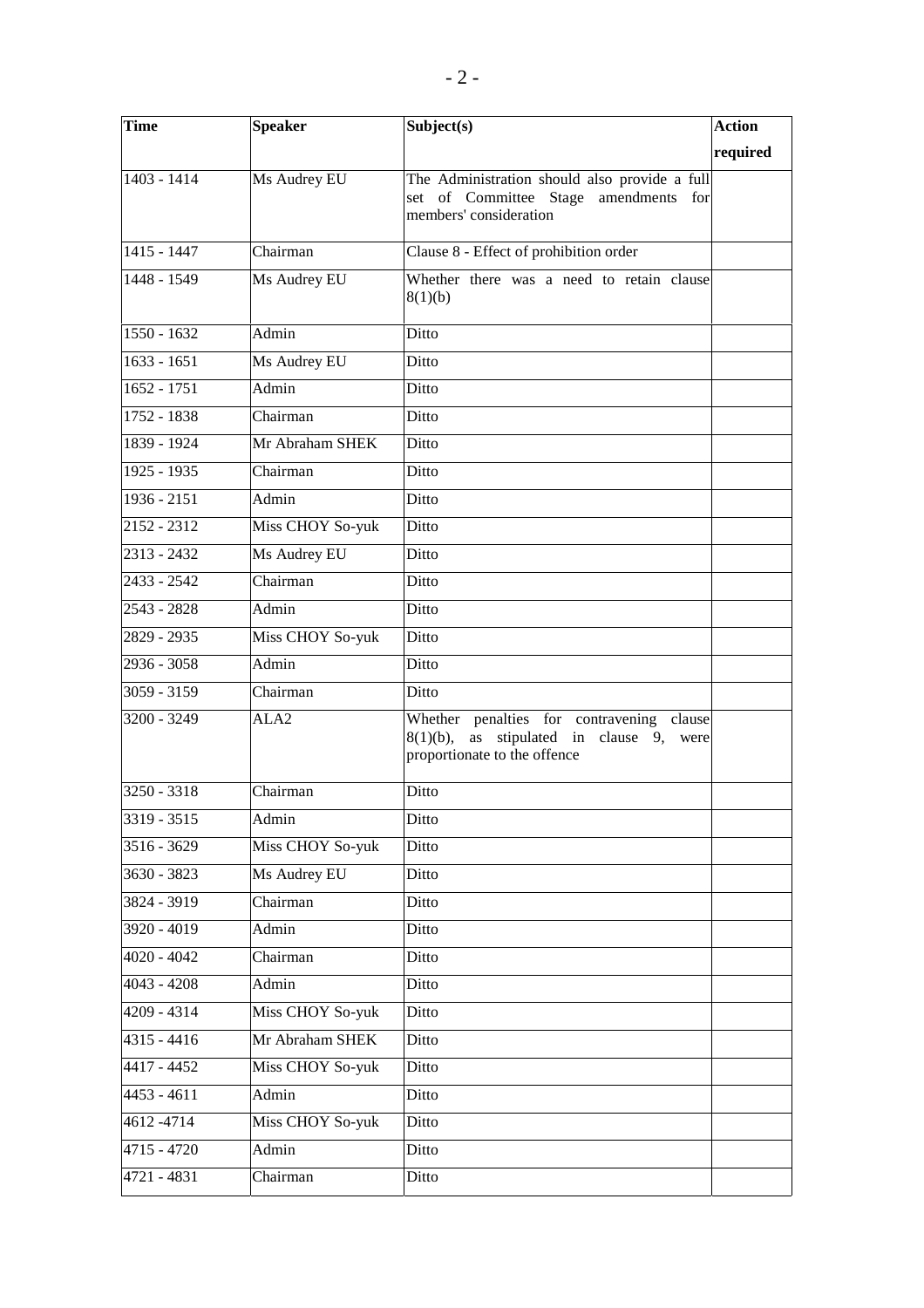| <b>Time</b>   | <b>Speaker</b>   | Subject(s)                                                                                                                        | <b>Action</b> |
|---------------|------------------|-----------------------------------------------------------------------------------------------------------------------------------|---------------|
|               |                  |                                                                                                                                   | required      |
| 1403 - 1414   | Ms Audrey EU     | The Administration should also provide a full<br>set of Committee Stage amendments for<br>members' consideration                  |               |
| 1415 - 1447   | Chairman         | Clause 8 - Effect of prohibition order                                                                                            |               |
| 1448 - 1549   | Ms Audrey EU     | Whether there was a need to retain clause<br>8(1)(b)                                                                              |               |
| $1550 - 1632$ | Admin            | Ditto                                                                                                                             |               |
| $1633 - 1651$ | Ms Audrey EU     | Ditto                                                                                                                             |               |
| $1652 - 1751$ | Admin            | Ditto                                                                                                                             |               |
| 1752 - 1838   | Chairman         | Ditto                                                                                                                             |               |
| 1839 - 1924   | Mr Abraham SHEK  | Ditto                                                                                                                             |               |
| $1925 - 1935$ | Chairman         | Ditto                                                                                                                             |               |
| 1936 - 2151   | Admin            | Ditto                                                                                                                             |               |
| 2152 - 2312   | Miss CHOY So-yuk | Ditto                                                                                                                             |               |
| 2313 - 2432   | Ms Audrey EU     | Ditto                                                                                                                             |               |
| 2433 - 2542   | Chairman         | Ditto                                                                                                                             |               |
| $2543 - 2828$ | Admin            | Ditto                                                                                                                             |               |
| 2829 - 2935   | Miss CHOY So-yuk | Ditto                                                                                                                             |               |
| 2936 - 3058   | Admin            | Ditto                                                                                                                             |               |
| 3059 - 3159   | Chairman         | Ditto                                                                                                                             |               |
| 3200 - 3249   | ALA <sub>2</sub> | Whether penalties for contravening clause<br>stipulated in clause 9,<br>$8(1)(b)$ ,<br>as<br>were<br>proportionate to the offence |               |
| 3250 - 3318   | Chairman         | Ditto                                                                                                                             |               |
| 3319 - 3515   | Admin            | Ditto                                                                                                                             |               |
| 3516 - 3629   | Miss CHOY So-yuk | Ditto                                                                                                                             |               |
| 3630 - 3823   | Ms Audrey EU     | Ditto                                                                                                                             |               |
| 3824 - 3919   | Chairman         | Ditto                                                                                                                             |               |
| 3920 - 4019   | Admin            | Ditto                                                                                                                             |               |
| $4020 - 4042$ | Chairman         | Ditto                                                                                                                             |               |
| $4043 - 4208$ | Admin            | Ditto                                                                                                                             |               |
| 4209 - 4314   | Miss CHOY So-yuk | Ditto                                                                                                                             |               |
| 4315 - 4416   | Mr Abraham SHEK  | Ditto                                                                                                                             |               |
| 4417 - 4452   | Miss CHOY So-yuk | Ditto                                                                                                                             |               |
| $4453 - 4611$ | Admin            | Ditto                                                                                                                             |               |
| 4612-4714     | Miss CHOY So-yuk | Ditto                                                                                                                             |               |
| 4715 - 4720   | Admin            | Ditto                                                                                                                             |               |
| 4721 - 4831   | Chairman         | Ditto                                                                                                                             |               |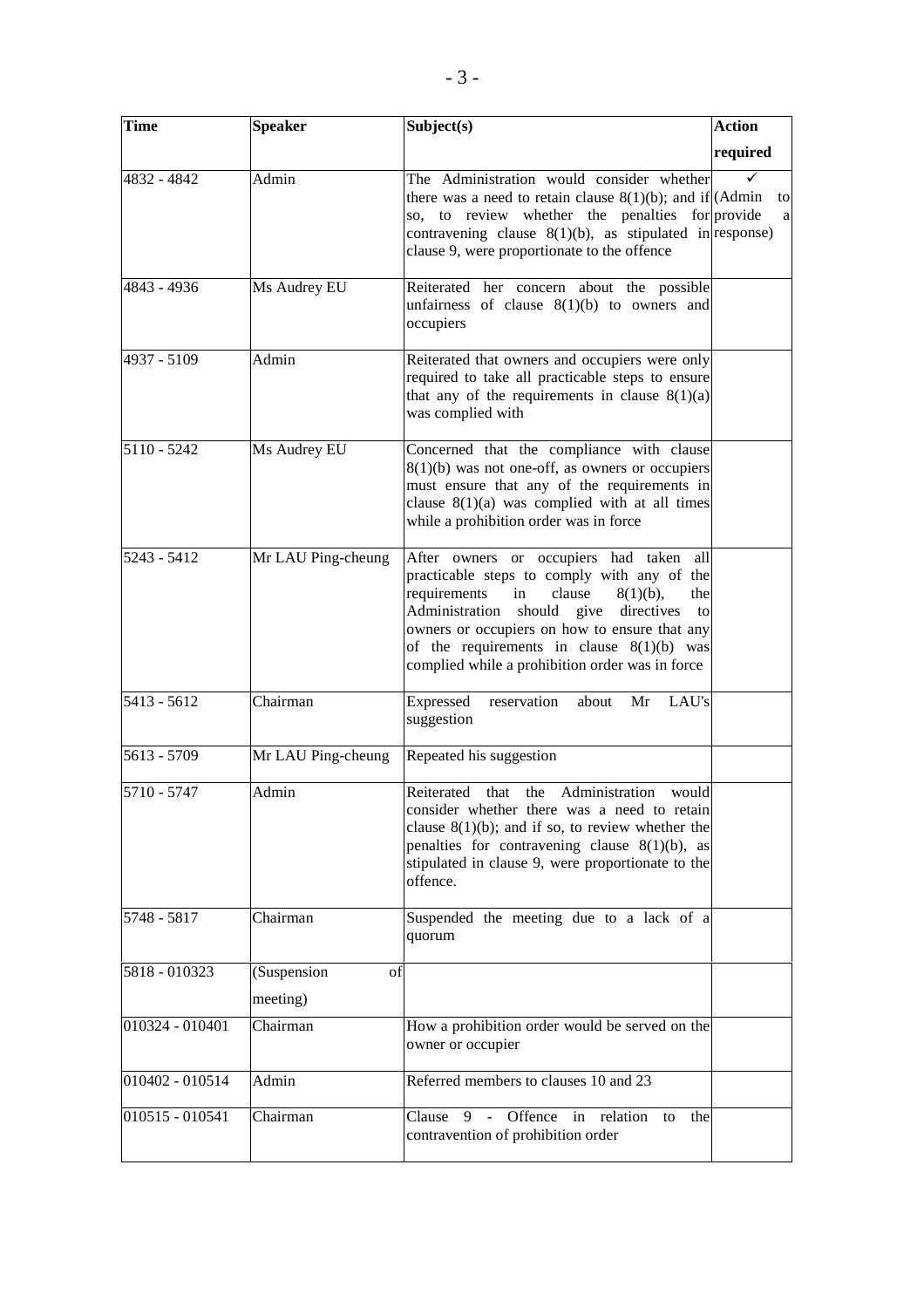| <b>Time</b>     | <b>Speaker</b>     | Subject(s)                                                                                                                                                                                                                                                                                                                                     | <b>Action</b> |
|-----------------|--------------------|------------------------------------------------------------------------------------------------------------------------------------------------------------------------------------------------------------------------------------------------------------------------------------------------------------------------------------------------|---------------|
|                 |                    |                                                                                                                                                                                                                                                                                                                                                | required      |
| 4832 - 4842     | Admin              | The Administration would consider whether<br>there was a need to retain clause $8(1)(b)$ ; and if $(Admin)$<br>so, to review whether the penalties for provide<br>contravening clause $8(1)(b)$ , as stipulated in response)<br>clause 9, were proportionate to the offence                                                                    | to<br>a       |
| 4843 - 4936     | Ms Audrey EU       | Reiterated her concern about the possible<br>unfairness of clause $8(1)(b)$ to owners and<br>occupiers                                                                                                                                                                                                                                         |               |
| 4937 - 5109     | Admin              | Reiterated that owners and occupiers were only<br>required to take all practicable steps to ensure<br>that any of the requirements in clause $8(1)(a)$<br>was complied with                                                                                                                                                                    |               |
| 5110 - 5242     | Ms Audrey EU       | Concerned that the compliance with clause<br>$8(1)(b)$ was not one-off, as owners or occupiers<br>must ensure that any of the requirements in<br>clause $8(1)(a)$ was complied with at all times<br>while a prohibition order was in force                                                                                                     |               |
| $5243 - 5412$   | Mr LAU Ping-cheung | After owners or occupiers had taken all<br>practicable steps to comply with any of the<br>requirements<br>clause<br>$8(1)(b)$ ,<br>the<br>in<br>Administration should give directives<br>to<br>owners or occupiers on how to ensure that any<br>of the requirements in clause $8(1)(b)$ was<br>complied while a prohibition order was in force |               |
| 5413 - 5612     | Chairman           | Expressed<br>reservation<br>about<br>Mr<br>LAU's<br>suggestion                                                                                                                                                                                                                                                                                 |               |
| 5613 - 5709     | Mr LAU Ping-cheung | Repeated his suggestion                                                                                                                                                                                                                                                                                                                        |               |
| 5710 - 5747     | Admin              | Reiterated that the Administration would<br>consider whether there was a need to retain<br>clause $8(1)(b)$ ; and if so, to review whether the<br>penalties for contravening clause $8(1)(b)$ , as<br>stipulated in clause 9, were proportionate to the<br>offence.                                                                            |               |
| 5748 - 5817     | Chairman           | Suspended the meeting due to a lack of a<br>quorum                                                                                                                                                                                                                                                                                             |               |
| 5818 - 010323   | (Suspension<br>of  |                                                                                                                                                                                                                                                                                                                                                |               |
|                 | meeting)           |                                                                                                                                                                                                                                                                                                                                                |               |
| 010324 - 010401 | Chairman           | How a prohibition order would be served on the<br>owner or occupier                                                                                                                                                                                                                                                                            |               |
| 010402 - 010514 | Admin              | Referred members to clauses 10 and 23                                                                                                                                                                                                                                                                                                          |               |
| 010515 - 010541 | Chairman           | Offence in relation<br>Clause<br>9<br>the<br>$\omega$<br>to<br>contravention of prohibition order                                                                                                                                                                                                                                              |               |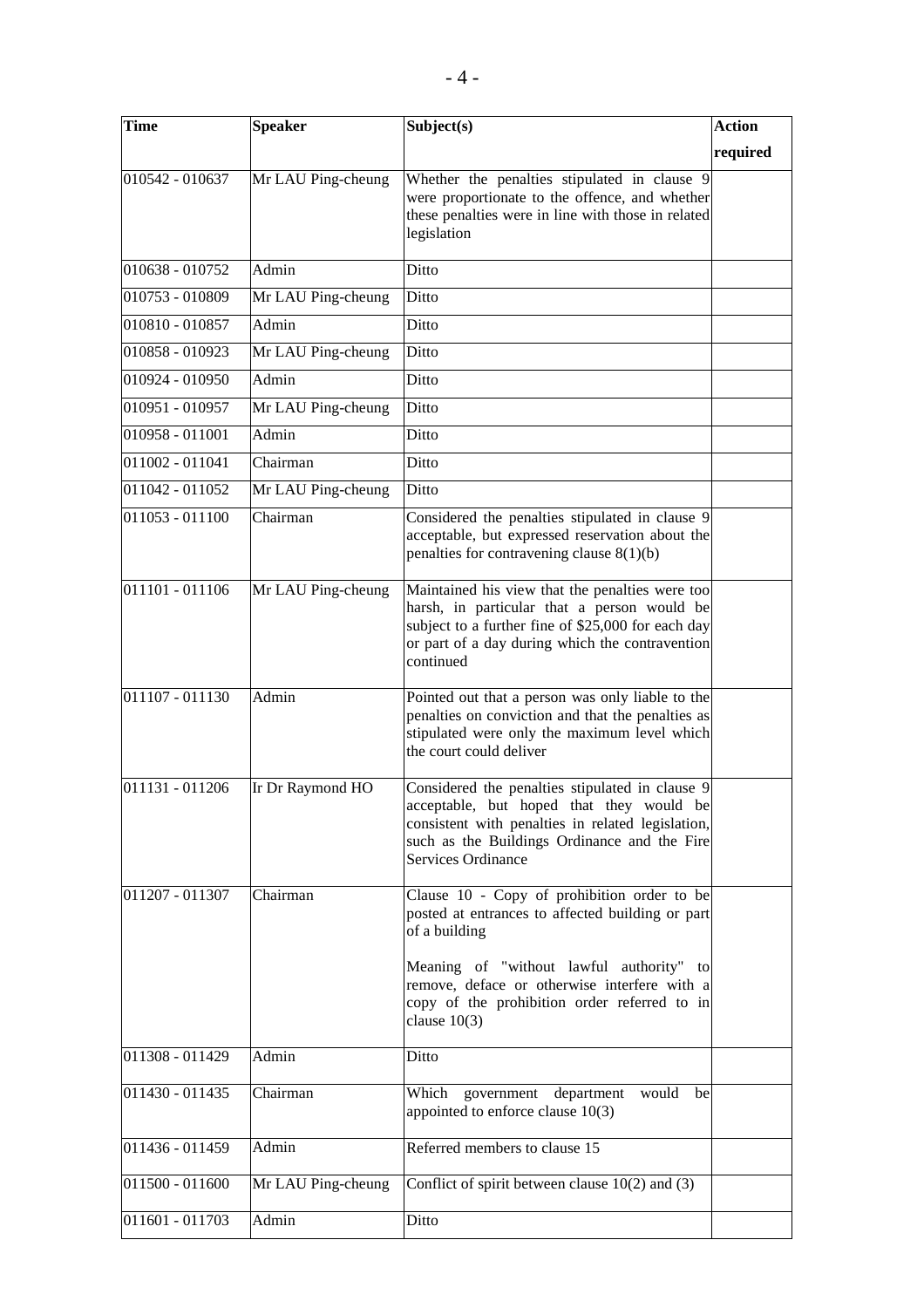| required<br>Mr LAU Ping-cheung<br>Whether the penalties stipulated in clause 9<br>were proportionate to the offence, and whether<br>these penalties were in line with those in related<br>legislation<br>Admin<br>Ditto<br>Mr LAU Ping-cheung<br>Ditto<br>Admin<br>Ditto<br>Ditto<br>Mr LAU Ping-cheung<br>Admin<br>Ditto<br>Mr LAU Ping-cheung<br>Ditto<br>Admin<br>Ditto<br>Ditto<br>Chairman<br>Ditto<br>Mr LAU Ping-cheung<br>Considered the penalties stipulated in clause 9<br>Chairman<br>acceptable, but expressed reservation about the<br>penalties for contravening clause $8(1)(b)$<br>Maintained his view that the penalties were too<br>Mr LAU Ping-cheung<br>harsh, in particular that a person would be<br>subject to a further fine of \$25,000 for each day<br>or part of a day during which the contravention<br>continued<br>Admin<br>Pointed out that a person was only liable to the<br>penalties on conviction and that the penalties as<br>stipulated were only the maximum level which<br>the court could deliver<br>Ir Dr Raymond HO<br>Considered the penalties stipulated in clause 9<br>acceptable, but hoped that they would be<br>consistent with penalties in related legislation,<br>such as the Buildings Ordinance and the Fire<br>Services Ordinance<br>Chairman<br>Clause 10 - Copy of prohibition order to be<br>posted at entrances to affected building or part<br>of a building<br>Meaning of "without lawful authority" to<br>remove, deface or otherwise interfere with a<br>copy of the prohibition order referred to in<br>clause $10(3)$<br>Ditto<br>Admin<br>011430 - 011435<br>Which government department would<br>Chairman<br>be<br>appointed to enforce clause 10(3)<br>Referred members to clause 15<br>Admin<br>Conflict of spirit between clause $10(2)$ and $(3)$<br>Mr LAU Ping-cheung<br>Admin<br>Ditto | Time            | <b>Speaker</b> | Subject(s) | <b>Action</b> |
|------------------------------------------------------------------------------------------------------------------------------------------------------------------------------------------------------------------------------------------------------------------------------------------------------------------------------------------------------------------------------------------------------------------------------------------------------------------------------------------------------------------------------------------------------------------------------------------------------------------------------------------------------------------------------------------------------------------------------------------------------------------------------------------------------------------------------------------------------------------------------------------------------------------------------------------------------------------------------------------------------------------------------------------------------------------------------------------------------------------------------------------------------------------------------------------------------------------------------------------------------------------------------------------------------------------------------------------------------------------------------------------------------------------------------------------------------------------------------------------------------------------------------------------------------------------------------------------------------------------------------------------------------------------------------------------------------------------------------------------------------------------------------------------------------------------------------------------------------------------|-----------------|----------------|------------|---------------|
|                                                                                                                                                                                                                                                                                                                                                                                                                                                                                                                                                                                                                                                                                                                                                                                                                                                                                                                                                                                                                                                                                                                                                                                                                                                                                                                                                                                                                                                                                                                                                                                                                                                                                                                                                                                                                                                                  |                 |                |            |               |
|                                                                                                                                                                                                                                                                                                                                                                                                                                                                                                                                                                                                                                                                                                                                                                                                                                                                                                                                                                                                                                                                                                                                                                                                                                                                                                                                                                                                                                                                                                                                                                                                                                                                                                                                                                                                                                                                  | 010542 - 010637 |                |            |               |
|                                                                                                                                                                                                                                                                                                                                                                                                                                                                                                                                                                                                                                                                                                                                                                                                                                                                                                                                                                                                                                                                                                                                                                                                                                                                                                                                                                                                                                                                                                                                                                                                                                                                                                                                                                                                                                                                  | 010638 - 010752 |                |            |               |
|                                                                                                                                                                                                                                                                                                                                                                                                                                                                                                                                                                                                                                                                                                                                                                                                                                                                                                                                                                                                                                                                                                                                                                                                                                                                                                                                                                                                                                                                                                                                                                                                                                                                                                                                                                                                                                                                  | 010753 - 010809 |                |            |               |
|                                                                                                                                                                                                                                                                                                                                                                                                                                                                                                                                                                                                                                                                                                                                                                                                                                                                                                                                                                                                                                                                                                                                                                                                                                                                                                                                                                                                                                                                                                                                                                                                                                                                                                                                                                                                                                                                  | 010810 - 010857 |                |            |               |
|                                                                                                                                                                                                                                                                                                                                                                                                                                                                                                                                                                                                                                                                                                                                                                                                                                                                                                                                                                                                                                                                                                                                                                                                                                                                                                                                                                                                                                                                                                                                                                                                                                                                                                                                                                                                                                                                  | 010858 - 010923 |                |            |               |
|                                                                                                                                                                                                                                                                                                                                                                                                                                                                                                                                                                                                                                                                                                                                                                                                                                                                                                                                                                                                                                                                                                                                                                                                                                                                                                                                                                                                                                                                                                                                                                                                                                                                                                                                                                                                                                                                  | 010924 - 010950 |                |            |               |
|                                                                                                                                                                                                                                                                                                                                                                                                                                                                                                                                                                                                                                                                                                                                                                                                                                                                                                                                                                                                                                                                                                                                                                                                                                                                                                                                                                                                                                                                                                                                                                                                                                                                                                                                                                                                                                                                  | 010951 - 010957 |                |            |               |
|                                                                                                                                                                                                                                                                                                                                                                                                                                                                                                                                                                                                                                                                                                                                                                                                                                                                                                                                                                                                                                                                                                                                                                                                                                                                                                                                                                                                                                                                                                                                                                                                                                                                                                                                                                                                                                                                  | 010958 - 011001 |                |            |               |
|                                                                                                                                                                                                                                                                                                                                                                                                                                                                                                                                                                                                                                                                                                                                                                                                                                                                                                                                                                                                                                                                                                                                                                                                                                                                                                                                                                                                                                                                                                                                                                                                                                                                                                                                                                                                                                                                  | 011002 - 011041 |                |            |               |
|                                                                                                                                                                                                                                                                                                                                                                                                                                                                                                                                                                                                                                                                                                                                                                                                                                                                                                                                                                                                                                                                                                                                                                                                                                                                                                                                                                                                                                                                                                                                                                                                                                                                                                                                                                                                                                                                  | 011042 - 011052 |                |            |               |
|                                                                                                                                                                                                                                                                                                                                                                                                                                                                                                                                                                                                                                                                                                                                                                                                                                                                                                                                                                                                                                                                                                                                                                                                                                                                                                                                                                                                                                                                                                                                                                                                                                                                                                                                                                                                                                                                  | 011053 - 011100 |                |            |               |
|                                                                                                                                                                                                                                                                                                                                                                                                                                                                                                                                                                                                                                                                                                                                                                                                                                                                                                                                                                                                                                                                                                                                                                                                                                                                                                                                                                                                                                                                                                                                                                                                                                                                                                                                                                                                                                                                  | 011101 - 011106 |                |            |               |
|                                                                                                                                                                                                                                                                                                                                                                                                                                                                                                                                                                                                                                                                                                                                                                                                                                                                                                                                                                                                                                                                                                                                                                                                                                                                                                                                                                                                                                                                                                                                                                                                                                                                                                                                                                                                                                                                  | 011107 - 011130 |                |            |               |
|                                                                                                                                                                                                                                                                                                                                                                                                                                                                                                                                                                                                                                                                                                                                                                                                                                                                                                                                                                                                                                                                                                                                                                                                                                                                                                                                                                                                                                                                                                                                                                                                                                                                                                                                                                                                                                                                  | 011131 - 011206 |                |            |               |
|                                                                                                                                                                                                                                                                                                                                                                                                                                                                                                                                                                                                                                                                                                                                                                                                                                                                                                                                                                                                                                                                                                                                                                                                                                                                                                                                                                                                                                                                                                                                                                                                                                                                                                                                                                                                                                                                  | 011207 - 011307 |                |            |               |
|                                                                                                                                                                                                                                                                                                                                                                                                                                                                                                                                                                                                                                                                                                                                                                                                                                                                                                                                                                                                                                                                                                                                                                                                                                                                                                                                                                                                                                                                                                                                                                                                                                                                                                                                                                                                                                                                  | 011308 - 011429 |                |            |               |
|                                                                                                                                                                                                                                                                                                                                                                                                                                                                                                                                                                                                                                                                                                                                                                                                                                                                                                                                                                                                                                                                                                                                                                                                                                                                                                                                                                                                                                                                                                                                                                                                                                                                                                                                                                                                                                                                  |                 |                |            |               |
|                                                                                                                                                                                                                                                                                                                                                                                                                                                                                                                                                                                                                                                                                                                                                                                                                                                                                                                                                                                                                                                                                                                                                                                                                                                                                                                                                                                                                                                                                                                                                                                                                                                                                                                                                                                                                                                                  |                 |                |            |               |
|                                                                                                                                                                                                                                                                                                                                                                                                                                                                                                                                                                                                                                                                                                                                                                                                                                                                                                                                                                                                                                                                                                                                                                                                                                                                                                                                                                                                                                                                                                                                                                                                                                                                                                                                                                                                                                                                  | 011436 - 011459 |                |            |               |
|                                                                                                                                                                                                                                                                                                                                                                                                                                                                                                                                                                                                                                                                                                                                                                                                                                                                                                                                                                                                                                                                                                                                                                                                                                                                                                                                                                                                                                                                                                                                                                                                                                                                                                                                                                                                                                                                  | 011500 - 011600 |                |            |               |
|                                                                                                                                                                                                                                                                                                                                                                                                                                                                                                                                                                                                                                                                                                                                                                                                                                                                                                                                                                                                                                                                                                                                                                                                                                                                                                                                                                                                                                                                                                                                                                                                                                                                                                                                                                                                                                                                  | 011601 - 011703 |                |            |               |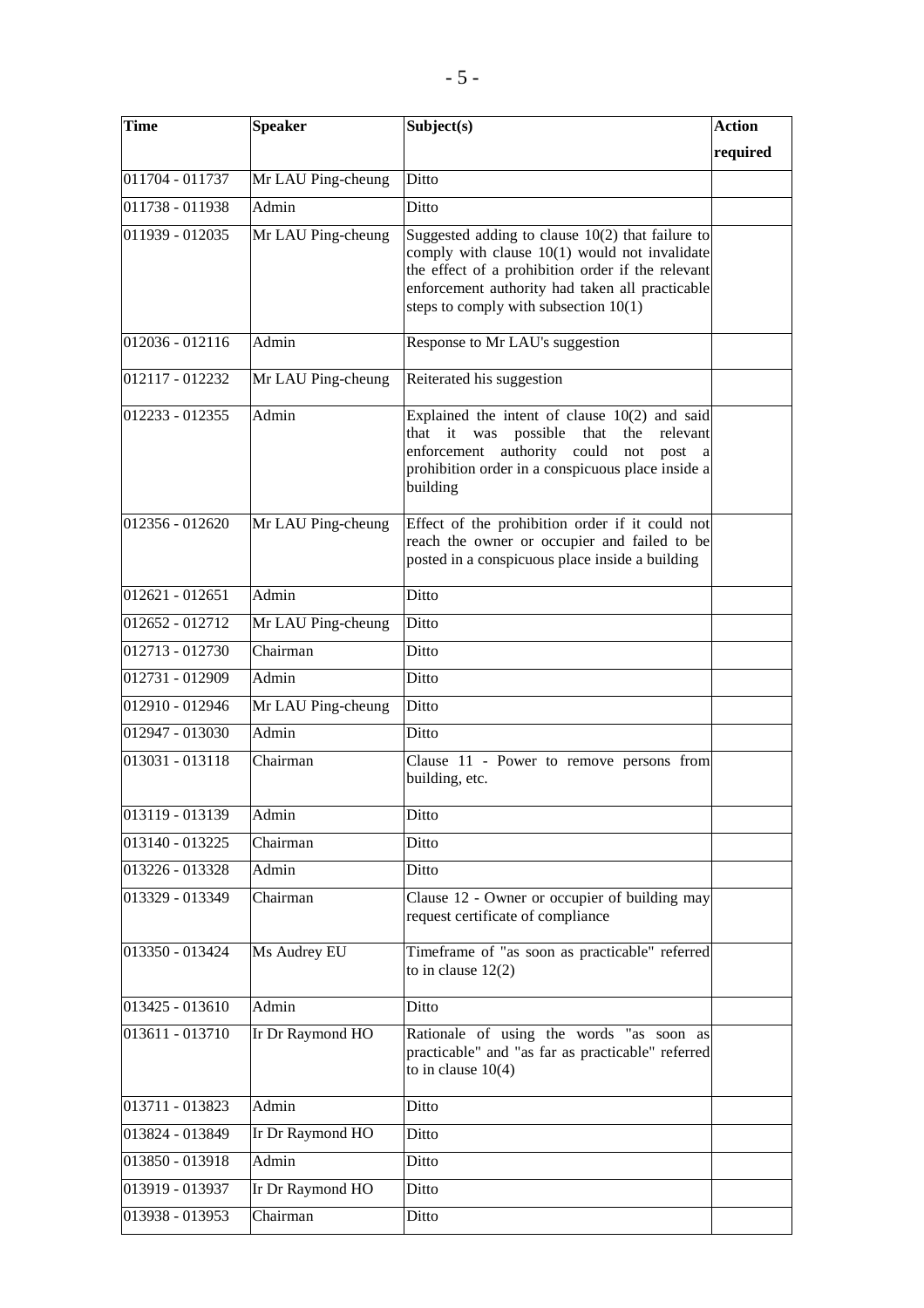| <b>Time</b>     | <b>Speaker</b>     | Subject(s)                                                                                                                                                                                                                                               | <b>Action</b> |
|-----------------|--------------------|----------------------------------------------------------------------------------------------------------------------------------------------------------------------------------------------------------------------------------------------------------|---------------|
|                 |                    |                                                                                                                                                                                                                                                          | required      |
| 011704 - 011737 | Mr LAU Ping-cheung | Ditto                                                                                                                                                                                                                                                    |               |
| 011738 - 011938 | Admin              | Ditto                                                                                                                                                                                                                                                    |               |
| 011939 - 012035 | Mr LAU Ping-cheung | Suggested adding to clause $10(2)$ that failure to<br>comply with clause $10(1)$ would not invalidate<br>the effect of a prohibition order if the relevant<br>enforcement authority had taken all practicable<br>steps to comply with subsection $10(1)$ |               |
| 012036 - 012116 | Admin              | Response to Mr LAU's suggestion                                                                                                                                                                                                                          |               |
| 012117 - 012232 | Mr LAU Ping-cheung | Reiterated his suggestion                                                                                                                                                                                                                                |               |
| 012233 - 012355 | Admin              | Explained the intent of clause $10(2)$ and said<br>that it was<br>possible<br>that<br>the<br>relevant<br>enforcement authority could<br>not<br>post<br><sub>a</sub><br>prohibition order in a conspicuous place inside a<br>building                     |               |
| 012356 - 012620 | Mr LAU Ping-cheung | Effect of the prohibition order if it could not<br>reach the owner or occupier and failed to be<br>posted in a conspicuous place inside a building                                                                                                       |               |
| 012621 - 012651 | Admin              | Ditto                                                                                                                                                                                                                                                    |               |
| 012652 - 012712 | Mr LAU Ping-cheung | Ditto                                                                                                                                                                                                                                                    |               |
| 012713 - 012730 | Chairman           | Ditto                                                                                                                                                                                                                                                    |               |
| 012731 - 012909 | Admin              | Ditto                                                                                                                                                                                                                                                    |               |
| 012910 - 012946 | Mr LAU Ping-cheung | Ditto                                                                                                                                                                                                                                                    |               |
| 012947 - 013030 | Admin              | Ditto                                                                                                                                                                                                                                                    |               |
| 013031 - 013118 | Chairman           | Clause 11 - Power to remove persons from<br>building, etc.                                                                                                                                                                                               |               |
| 013119 - 013139 | Admin              | Ditto                                                                                                                                                                                                                                                    |               |
| 013140 - 013225 | Chairman           | Ditto                                                                                                                                                                                                                                                    |               |
| 013226 - 013328 | Admin              | Ditto                                                                                                                                                                                                                                                    |               |
| 013329 - 013349 | Chairman           | Clause 12 - Owner or occupier of building may<br>request certificate of compliance                                                                                                                                                                       |               |
| 013350 - 013424 | Ms Audrey EU       | Timeframe of "as soon as practicable" referred<br>to in clause $12(2)$                                                                                                                                                                                   |               |
| 013425 - 013610 | Admin              | Ditto                                                                                                                                                                                                                                                    |               |
| 013611 - 013710 | Ir Dr Raymond HO   | Rationale of using the words "as soon as<br>practicable" and "as far as practicable" referred<br>to in clause $10(4)$                                                                                                                                    |               |
| 013711 - 013823 | Admin              | Ditto                                                                                                                                                                                                                                                    |               |
| 013824 - 013849 | Ir Dr Raymond HO   | Ditto                                                                                                                                                                                                                                                    |               |
| 013850 - 013918 | Admin              | Ditto                                                                                                                                                                                                                                                    |               |
| 013919 - 013937 | Ir Dr Raymond HO   | Ditto                                                                                                                                                                                                                                                    |               |
| 013938 - 013953 | Chairman           | Ditto                                                                                                                                                                                                                                                    |               |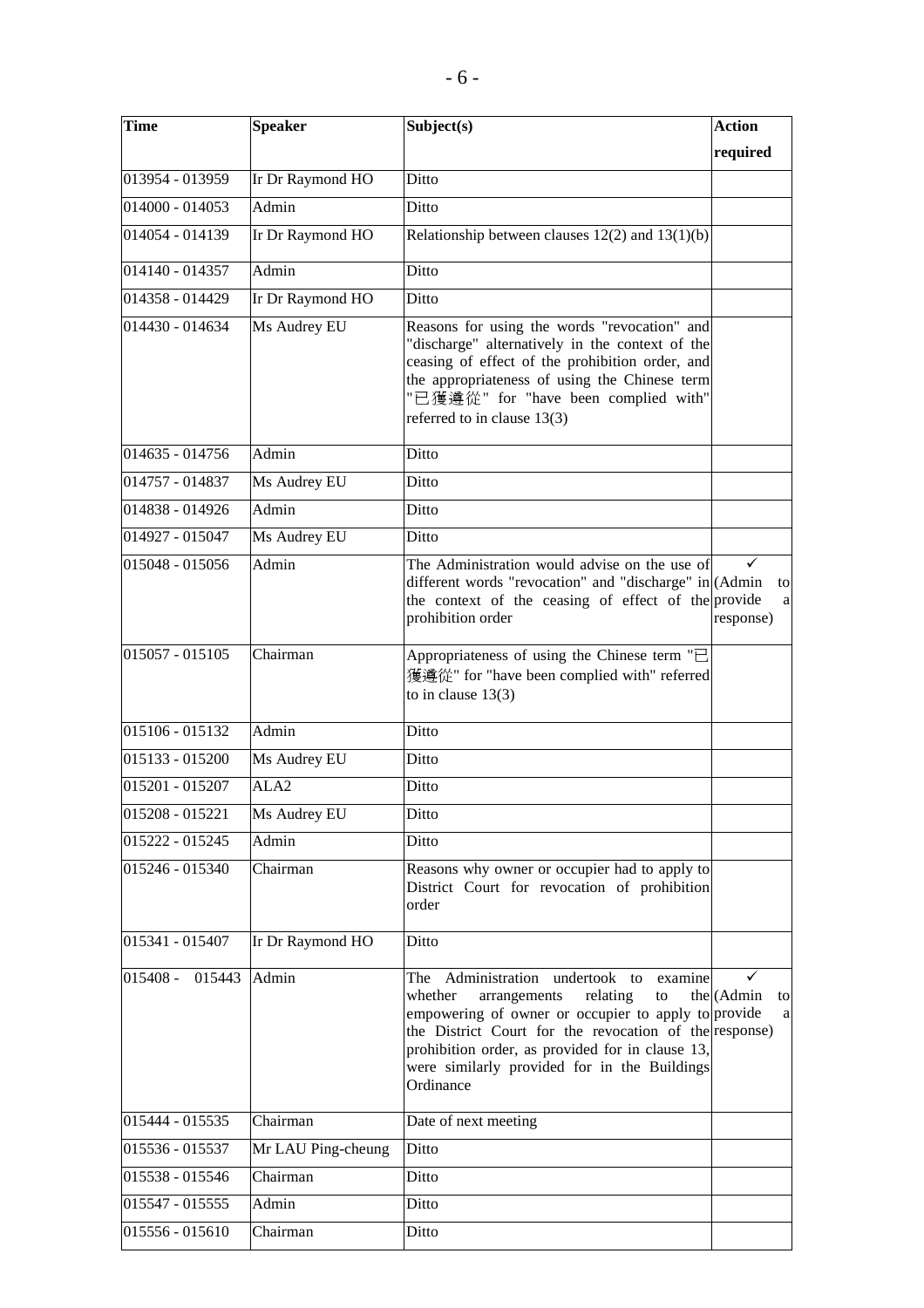| <b>Time</b>         | <b>Speaker</b>     | Subject(s)                                                                                                                                                                                                                                                                                                                | <b>Action</b>         |
|---------------------|--------------------|---------------------------------------------------------------------------------------------------------------------------------------------------------------------------------------------------------------------------------------------------------------------------------------------------------------------------|-----------------------|
|                     |                    |                                                                                                                                                                                                                                                                                                                           | required              |
| 013954 - 013959     | Ir Dr Raymond HO   | Ditto                                                                                                                                                                                                                                                                                                                     |                       |
| 014000 - 014053     | Admin              | Ditto                                                                                                                                                                                                                                                                                                                     |                       |
| 014054 - 014139     | Ir Dr Raymond HO   | Relationship between clauses $12(2)$ and $13(1)(b)$                                                                                                                                                                                                                                                                       |                       |
| 014140 - 014357     | Admin              | Ditto                                                                                                                                                                                                                                                                                                                     |                       |
| 014358 - 014429     | Ir Dr Raymond HO   | Ditto                                                                                                                                                                                                                                                                                                                     |                       |
| 014430 - 014634     | Ms Audrey EU       | Reasons for using the words "revocation" and<br>"discharge" alternatively in the context of the<br>ceasing of effect of the prohibition order, and<br>the appropriateness of using the Chinese term<br>"已獲遵從" for "have been complied with"<br>referred to in clause 13(3)                                                |                       |
| 014635 - 014756     | Admin              | Ditto                                                                                                                                                                                                                                                                                                                     |                       |
| 014757 - 014837     | Ms Audrey EU       | Ditto                                                                                                                                                                                                                                                                                                                     |                       |
| 014838 - 014926     | Admin              | Ditto                                                                                                                                                                                                                                                                                                                     |                       |
| 014927 - 015047     | Ms Audrey EU       | Ditto                                                                                                                                                                                                                                                                                                                     |                       |
| 015048 - 015056     | Admin              | The Administration would advise on the use of<br>different words "revocation" and "discharge" in (Admin<br>the context of the ceasing of effect of the provide<br>prohibition order                                                                                                                                       | to<br>a<br>response)  |
| 015057 - 015105     | Chairman           | Appropriateness of using the Chinese term $"\equiv$<br>獲遵從" for "have been complied with" referred<br>to in clause $13(3)$                                                                                                                                                                                                |                       |
| 015106 - 015132     | Admin              | Ditto                                                                                                                                                                                                                                                                                                                     |                       |
| $015133 - 015200$   | Ms Audrey EU       | Ditto                                                                                                                                                                                                                                                                                                                     |                       |
| 015201 - 015207     | ALA <sub>2</sub>   | Ditto                                                                                                                                                                                                                                                                                                                     |                       |
| 015208 - 015221     | Ms Audrey EU       | Ditto                                                                                                                                                                                                                                                                                                                     |                       |
| 015222 - 015245     | Admin              | Ditto                                                                                                                                                                                                                                                                                                                     |                       |
| 015246 - 015340     | Chairman           | Reasons why owner or occupier had to apply to<br>District Court for revocation of prohibition<br>order                                                                                                                                                                                                                    |                       |
| 015341 - 015407     | Ir Dr Raymond HO   | Ditto                                                                                                                                                                                                                                                                                                                     |                       |
| $ 015408 - 015443 $ | Admin              | The Administration undertook to<br>examine<br>relating<br>whether<br>arrangements<br>to<br>empowering of owner or occupier to apply to provide<br>the District Court for the revocation of the response)<br>prohibition order, as provided for in clause 13,<br>were similarly provided for in the Buildings<br>Ordinance | the (Admin<br>to<br>a |
| 015444 - 015535     | Chairman           | Date of next meeting                                                                                                                                                                                                                                                                                                      |                       |
| 015536 - 015537     | Mr LAU Ping-cheung | Ditto                                                                                                                                                                                                                                                                                                                     |                       |
| 015538 - 015546     | Chairman           | Ditto                                                                                                                                                                                                                                                                                                                     |                       |
| 015547 - 015555     | Admin              | Ditto                                                                                                                                                                                                                                                                                                                     |                       |
| 015556 - 015610     | Chairman           | Ditto                                                                                                                                                                                                                                                                                                                     |                       |